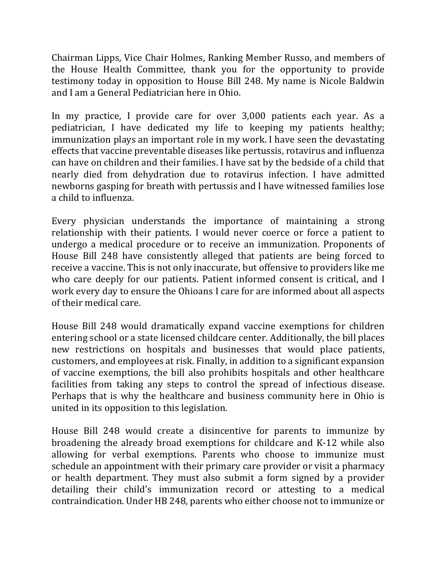Chairman Lipps, Vice Chair Holmes, Ranking Member Russo, and members of the House Health Committee, thank you for the opportunity to provide testimony today in opposition to House Bill 248. My name is Nicole Baldwin and I am a General Pediatrician here in Ohio.

In my practice, I provide care for over 3,000 patients each year. As a pediatrician, I have dedicated my life to keeping my patients healthy; immunization plays an important role in my work. I have seen the devastating effects that vaccine preventable diseases like pertussis, rotavirus and influenza can have on children and their families. I have sat by the bedside of a child that nearly died from dehydration due to rotavirus infection. I have admitted newborns gasping for breath with pertussis and I have witnessed families lose a child to influenza.

Every physician understands the importance of maintaining a strong relationship with their patients. I would never coerce or force a patient to undergo a medical procedure or to receive an immunization. Proponents of House Bill 248 have consistently alleged that patients are being forced to receive a vaccine. This is not only inaccurate, but offensive to providers like me who care deeply for our patients. Patient informed consent is critical, and I work every day to ensure the Ohioans I care for are informed about all aspects of their medical care.

House Bill 248 would dramatically expand vaccine exemptions for children entering school or a state licensed childcare center. Additionally, the bill places new restrictions on hospitals and businesses that would place patients, customers, and employees at risk. Finally, in addition to a significant expansion of vaccine exemptions, the bill also prohibits hospitals and other healthcare facilities from taking any steps to control the spread of infectious disease. Perhaps that is why the healthcare and business community here in Ohio is united in its opposition to this legislation.

House Bill 248 would create a disincentive for parents to immunize by broadening the already broad exemptions for childcare and K-12 while also allowing for verbal exemptions. Parents who choose to immunize must schedule an appointment with their primary care provider or visit a pharmacy or health department. They must also submit a form signed by a provider detailing their child's immunization record or attesting to a medical contraindication. Under HB 248, parents who either choose not to immunize or